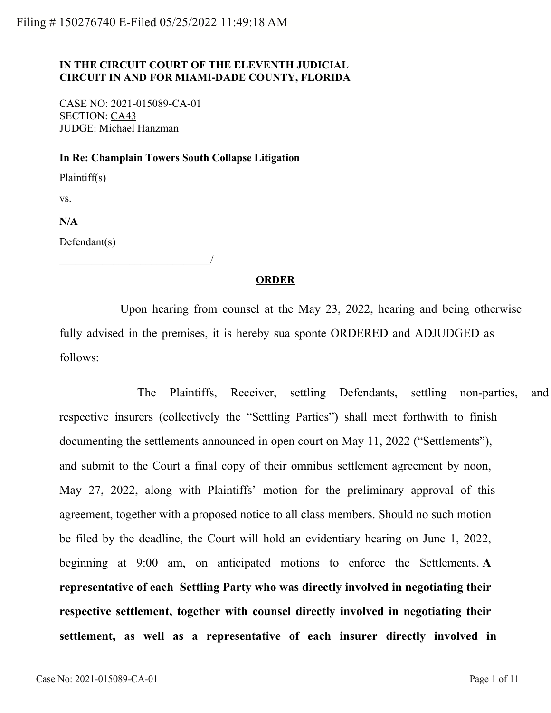# **IN THE CIRCUIT COURT OF THE ELEVENTH JUDICIAL CIRCUIT IN AND FOR MIAMI-DADE COUNTY, FLORIDA**

CASE NO: 2021-015089-CA-01 SECTION: CA43 JUDGE: Michael Hanzman

\_\_\_\_\_\_\_\_\_\_\_\_\_\_\_\_\_\_\_\_\_\_\_\_\_\_\_\_/

#### **In Re: Champlain Towers South Collapse Litigation**

Plaintiff(s)

vs.

**N/A**

Defendant(s)

## **ORDER**

 Upon hearing from counsel at the May 23, 2022, hearing and being otherwise fully advised in the premises, it is hereby sua sponte ORDERED and ADJUDGED as follows:

The Plaintiffs, Receiver, settling Defendants, settling non-parties, and respective insurers (collectively the "Settling Parties") shall meet forthwith to finish documenting the settlements announced in open court on May 11, 2022 ("Settlements"), and submit to the Court a final copy of their omnibus settlement agreement by noon, May 27, 2022, along with Plaintiffs' motion for the preliminary approval of this agreement, together with a proposed notice to all class members. Should no such motion be filed by the deadline, the Court will hold an evidentiary hearing on June 1, 2022, beginning at 9:00 am, on anticipated motions to enforce the Settlements. **A representative of each Settling Party who was directly involved in negotiating their respective settlement, together with counsel directly involved in negotiating their settlement, as well as a representative of each insurer directly involved in**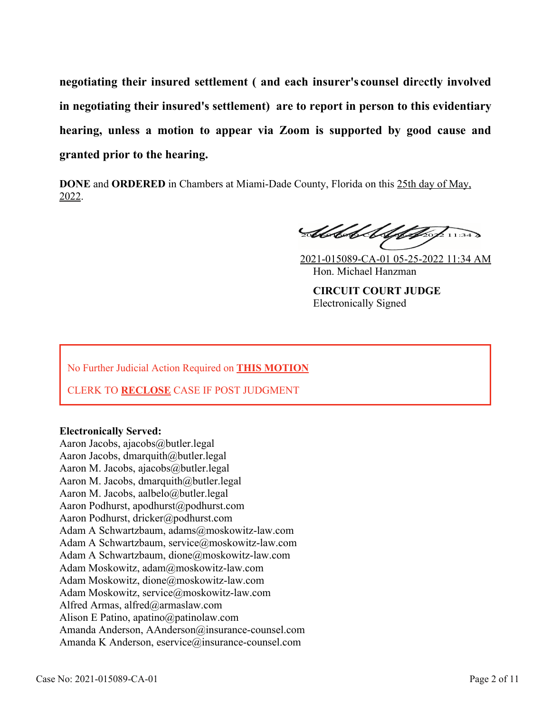**negotiating their insured settlement ( and each insurer's counsel dir**e**ctly involved in negotiating their insured's settlement) are to report in person to this evidentiary hearing, unless a motion to appear via Zoom is supported by good cause and granted prior to the hearing.** 

**DONE** and **ORDERED** in Chambers at Miami-Dade County, Florida on this 25th day of May, 2022.

Abbel Alphage 1134

2021-015089-CA-01 05-25-2022 11:34 AM Hon. Michael Hanzman **CIRCUIT COURT JUDGE** Electronically Signed

No Further Judicial Action Required on **THIS MOTION**

CLERK TO **RECLOSE** CASE IF POST JUDGMENT

## **Electronically Served:**

Aaron Jacobs, ajacobs@butler.legal Aaron Jacobs, dmarquith@butler.legal Aaron M. Jacobs, ajacobs@butler.legal Aaron M. Jacobs, dmarquith@butler.legal Aaron M. Jacobs, aalbelo@butler.legal Aaron Podhurst, apodhurst@podhurst.com Aaron Podhurst, dricker@podhurst.com Adam A Schwartzbaum, adams@moskowitz-law.com Adam A Schwartzbaum, service@moskowitz-law.com Adam A Schwartzbaum, dione@moskowitz-law.com Adam Moskowitz, adam@moskowitz-law.com Adam Moskowitz, dione@moskowitz-law.com Adam Moskowitz, service@moskowitz-law.com Alfred Armas, alfred@armaslaw.com Alison E Patino, apatino@patinolaw.com Amanda Anderson, AAnderson@insurance-counsel.com Amanda K Anderson, eservice@insurance-counsel.com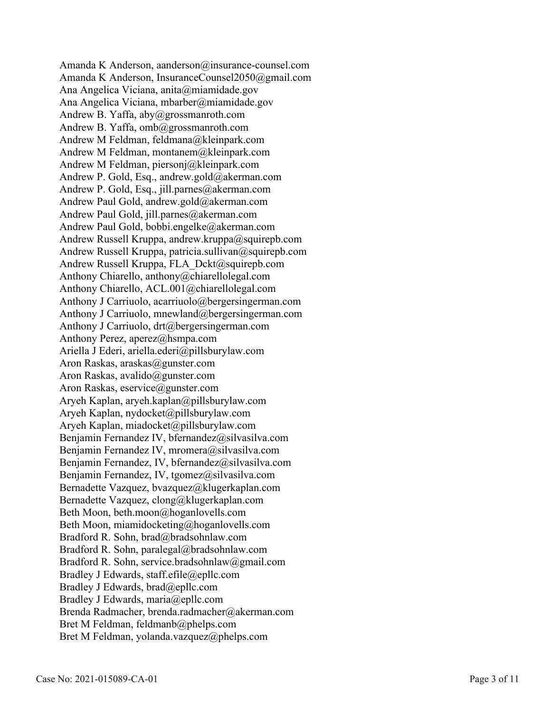Amanda K Anderson, aanderson@insurance-counsel.com Amanda K Anderson, InsuranceCounsel2050@gmail.com Ana Angelica Viciana, anita@miamidade.gov Ana Angelica Viciana, mbarber@miamidade.gov Andrew B. Yaffa, aby@grossmanroth.com Andrew B. Yaffa, omb@grossmanroth.com Andrew M Feldman, feldmana@kleinpark.com Andrew M Feldman, montanem@kleinpark.com Andrew M Feldman, piersonj@kleinpark.com Andrew P. Gold, Esq., andrew.gold@akerman.com Andrew P. Gold, Esq., jill.parnes@akerman.com Andrew Paul Gold, andrew.gold@akerman.com Andrew Paul Gold, jill.parnes@akerman.com Andrew Paul Gold, bobbi.engelke@akerman.com Andrew Russell Kruppa, andrew.kruppa@squirepb.com Andrew Russell Kruppa, patricia.sullivan@squirepb.com Andrew Russell Kruppa, FLA\_Dckt@squirepb.com Anthony Chiarello, anthony@chiarellolegal.com Anthony Chiarello, ACL.001@chiarellolegal.com Anthony J Carriuolo, acarriuolo@bergersingerman.com Anthony J Carriuolo, mnewland@bergersingerman.com Anthony J Carriuolo, drt@bergersingerman.com Anthony Perez, aperez@hsmpa.com Ariella J Ederi, ariella.ederi@pillsburylaw.com Aron Raskas, araskas@gunster.com Aron Raskas, avalido@gunster.com Aron Raskas, eservice@gunster.com Aryeh Kaplan, aryeh.kaplan@pillsburylaw.com Aryeh Kaplan, nydocket@pillsburylaw.com Aryeh Kaplan, miadocket@pillsburylaw.com Benjamin Fernandez IV, bfernandez@silvasilva.com Benjamin Fernandez IV, mromera@silvasilva.com Benjamin Fernandez, IV, bfernandez@silvasilva.com Benjamin Fernandez, IV, tgomez@silvasilva.com Bernadette Vazquez, bvazquez@klugerkaplan.com Bernadette Vazquez, clong@klugerkaplan.com Beth Moon, beth.moon@hoganlovells.com Beth Moon, miamidocketing@hoganlovells.com Bradford R. Sohn, brad@bradsohnlaw.com Bradford R. Sohn, paralegal@bradsohnlaw.com Bradford R. Sohn, service.bradsohnlaw@gmail.com Bradley J Edwards, staff.efile@epllc.com Bradley J Edwards, brad@epllc.com Bradley J Edwards, maria@epllc.com Brenda Radmacher, brenda.radmacher@akerman.com Bret M Feldman, feldmanb@phelps.com Bret M Feldman, yolanda.vazquez@phelps.com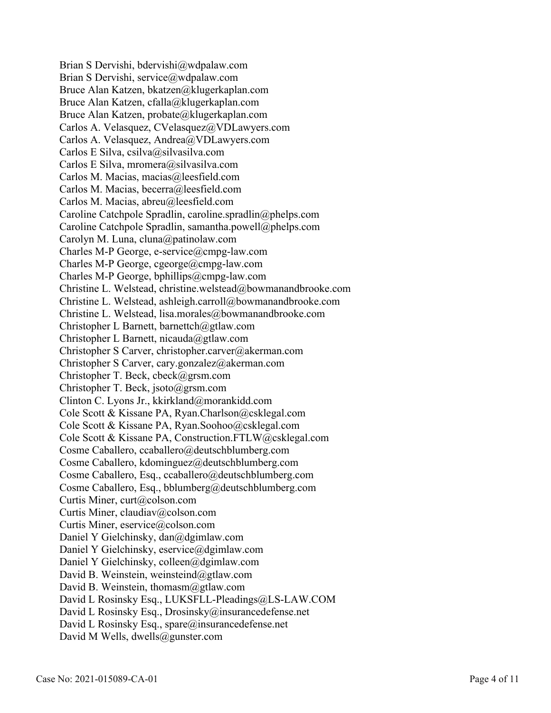Brian S Dervishi, bdervishi@wdpalaw.com Brian S Dervishi, service@wdpalaw.com Bruce Alan Katzen, bkatzen@klugerkaplan.com Bruce Alan Katzen, cfalla@klugerkaplan.com Bruce Alan Katzen, probate@klugerkaplan.com Carlos A. Velasquez, CVelasquez@VDLawyers.com Carlos A. Velasquez, Andrea@VDLawyers.com Carlos E Silva, csilva@silvasilva.com Carlos E Silva, mromera@silvasilva.com Carlos M. Macias, macias@leesfield.com Carlos M. Macias, becerra@leesfield.com Carlos M. Macias, abreu@leesfield.com Caroline Catchpole Spradlin, caroline.spradlin@phelps.com Caroline Catchpole Spradlin, samantha.powell@phelps.com Carolyn M. Luna, cluna@patinolaw.com Charles M-P George, e-service@cmpg-law.com Charles M-P George, cgeorge@cmpg-law.com Charles M-P George, bphillips@cmpg-law.com Christine L. Welstead, christine.welstead@bowmanandbrooke.com Christine L. Welstead, ashleigh.carroll@bowmanandbrooke.com Christine L. Welstead, lisa.morales@bowmanandbrooke.com Christopher L Barnett, barnettch@gtlaw.com Christopher L Barnett, nicauda@gtlaw.com Christopher S Carver, christopher.carver@akerman.com Christopher S Carver, cary.gonzalez@akerman.com Christopher T. Beck, cbeck@grsm.com Christopher T. Beck, jsoto@grsm.com Clinton C. Lyons Jr., kkirkland@morankidd.com Cole Scott & Kissane PA, Ryan.Charlson@csklegal.com Cole Scott & Kissane PA, Ryan.Soohoo@csklegal.com Cole Scott & Kissane PA, Construction.FTLW@csklegal.com Cosme Caballero, ccaballero@deutschblumberg.com Cosme Caballero, kdominguez@deutschblumberg.com Cosme Caballero, Esq., ccaballero@deutschblumberg.com Cosme Caballero, Esq., bblumberg@deutschblumberg.com Curtis Miner, curt@colson.com Curtis Miner, claudiav@colson.com Curtis Miner, eservice@colson.com Daniel Y Gielchinsky, dan@dgimlaw.com Daniel Y Gielchinsky, eservice@dgimlaw.com Daniel Y Gielchinsky, colleen@dgimlaw.com David B. Weinstein, weinsteind@gtlaw.com David B. Weinstein, thomasm@gtlaw.com David L Rosinsky Esq., LUKSFLL-Pleadings@LS-LAW.COM David L Rosinsky Esq., Drosinsky@insurancedefense.net David L Rosinsky Esq., spare@insurancedefense.net David M Wells, dwells@gunster.com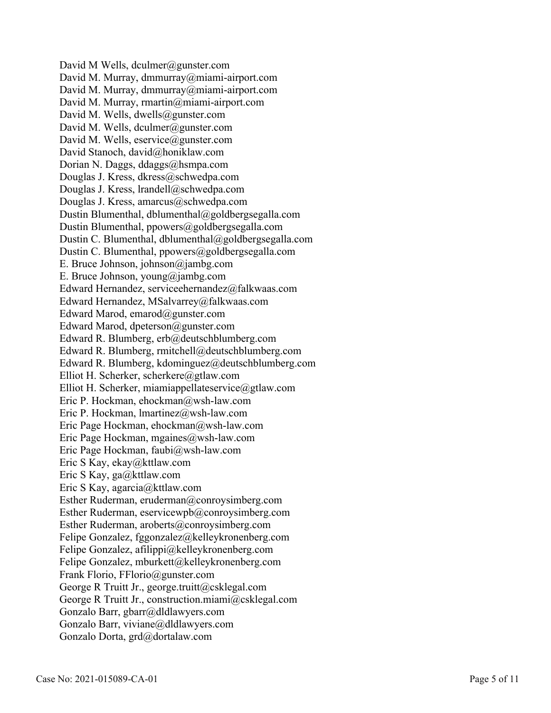David M Wells, dculmer@gunster.com David M. Murray, dmmurray@miami-airport.com David M. Murray, dmmurray@miami-airport.com David M. Murray, rmartin@miami-airport.com David M. Wells, dwells@gunster.com David M. Wells, dculmer@gunster.com David M. Wells, eservice@gunster.com David Stanoch, david@honiklaw.com Dorian N. Daggs, ddaggs@hsmpa.com Douglas J. Kress, dkress@schwedpa.com Douglas J. Kress, lrandell@schwedpa.com Douglas J. Kress, amarcus@schwedpa.com Dustin Blumenthal, dblumenthal@goldbergsegalla.com Dustin Blumenthal, ppowers@goldbergsegalla.com Dustin C. Blumenthal, dblumenthal@goldbergsegalla.com Dustin C. Blumenthal, ppowers@goldbergsegalla.com E. Bruce Johnson, johnson@jambg.com E. Bruce Johnson, young@jambg.com Edward Hernandez, serviceehernandez@falkwaas.com Edward Hernandez, MSalvarrey@falkwaas.com Edward Marod, emarod@gunster.com Edward Marod, dpeterson@gunster.com Edward R. Blumberg, erb@deutschblumberg.com Edward R. Blumberg, rmitchell@deutschblumberg.com Edward R. Blumberg, kdominguez@deutschblumberg.com Elliot H. Scherker, scherkere@gtlaw.com Elliot H. Scherker, miamiappellateservice@gtlaw.com Eric P. Hockman, ehockman@wsh-law.com Eric P. Hockman, lmartinez@wsh-law.com Eric Page Hockman, ehockman@wsh-law.com Eric Page Hockman, mgaines@wsh-law.com Eric Page Hockman, faubi@wsh-law.com Eric S Kay, ekay@kttlaw.com Eric S Kay, ga@kttlaw.com Eric S Kay, agarcia@kttlaw.com Esther Ruderman, eruderman@conroysimberg.com Esther Ruderman, eservicewpb@conroysimberg.com Esther Ruderman, aroberts@conroysimberg.com Felipe Gonzalez, fggonzalez@kelleykronenberg.com Felipe Gonzalez, afilippi@kelleykronenberg.com Felipe Gonzalez, mburkett@kelleykronenberg.com Frank Florio, FFlorio@gunster.com George R Truitt Jr., george.truitt@csklegal.com George R Truitt Jr., construction.miami@csklegal.com Gonzalo Barr, gbarr@dldlawyers.com Gonzalo Barr, viviane@dldlawyers.com Gonzalo Dorta, grd@dortalaw.com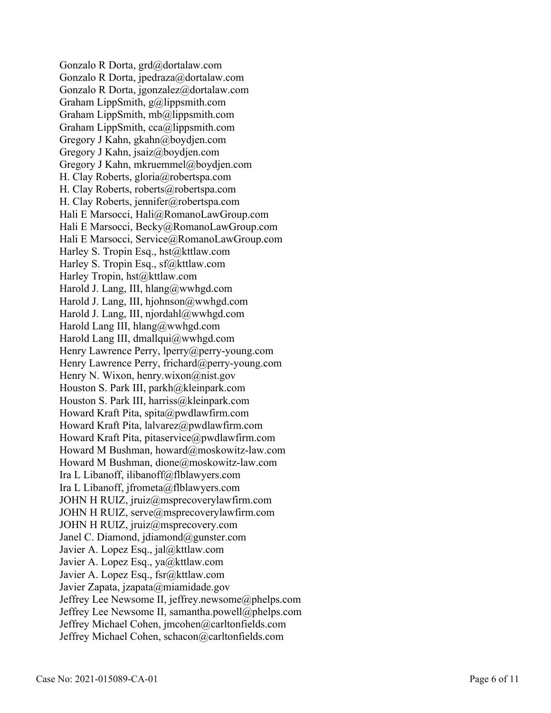Gonzalo R Dorta, grd@dortalaw.com Gonzalo R Dorta, jpedraza@dortalaw.com Gonzalo R Dorta, jgonzalez@dortalaw.com Graham LippSmith, g@lippsmith.com Graham LippSmith, mb@lippsmith.com Graham LippSmith, cca@lippsmith.com Gregory J Kahn, gkahn@boydjen.com Gregory J Kahn, jsaiz@boydjen.com Gregory J Kahn, mkruemmel@boydjen.com H. Clay Roberts, gloria@robertspa.com H. Clay Roberts, roberts@robertspa.com H. Clay Roberts, jennifer@robertspa.com Hali E Marsocci, Hali@RomanoLawGroup.com Hali E Marsocci, Becky@RomanoLawGroup.com Hali E Marsocci, Service@RomanoLawGroup.com Harley S. Tropin Esq., hst@kttlaw.com Harley S. Tropin Esq., sf@kttlaw.com Harley Tropin, hst@kttlaw.com Harold J. Lang, III, hlang@wwhgd.com Harold J. Lang, III, hjohnson@wwhgd.com Harold J. Lang, III, njordahl@wwhgd.com Harold Lang III, hlang@wwhgd.com Harold Lang III, dmallqui@wwhgd.com Henry Lawrence Perry, lperry@perry-young.com Henry Lawrence Perry, frichard@perry-young.com Henry N. Wixon, henry.wixon@nist.gov Houston S. Park III, parkh@kleinpark.com Houston S. Park III, harriss@kleinpark.com Howard Kraft Pita, spita@pwdlawfirm.com Howard Kraft Pita, lalvarez@pwdlawfirm.com Howard Kraft Pita, pitaservice@pwdlawfirm.com Howard M Bushman, howard@moskowitz-law.com Howard M Bushman, dione@moskowitz-law.com Ira L Libanoff, ilibanoff@flblawyers.com Ira L Libanoff, jfrometa@flblawyers.com JOHN H RUIZ, jruiz@msprecoverylawfirm.com JOHN H RUIZ, serve@msprecoverylawfirm.com JOHN H RUIZ, jruiz@msprecovery.com Janel C. Diamond, jdiamond@gunster.com Javier A. Lopez Esq., jal@kttlaw.com Javier A. Lopez Esq., ya@kttlaw.com Javier A. Lopez Esq., fsr@kttlaw.com Javier Zapata, jzapata@miamidade.gov Jeffrey Lee Newsome II, jeffrey.newsome@phelps.com Jeffrey Lee Newsome II, samantha.powell@phelps.com Jeffrey Michael Cohen, jmcohen@carltonfields.com Jeffrey Michael Cohen, schacon@carltonfields.com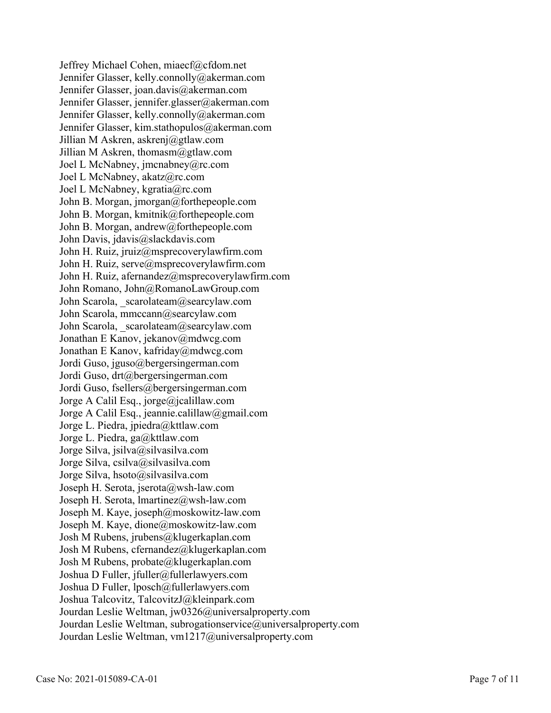Jeffrey Michael Cohen, miaecf@cfdom.net Jennifer Glasser, kelly.connolly@akerman.com Jennifer Glasser, joan.davis@akerman.com Jennifer Glasser, jennifer.glasser@akerman.com Jennifer Glasser, kelly.connolly@akerman.com Jennifer Glasser, kim.stathopulos@akerman.com Jillian M Askren, askrenj@gtlaw.com Jillian M Askren, thomasm@gtlaw.com Joel L McNabney, jmcnabney@rc.com Joel L McNabney, akatz@rc.com Joel L McNabney, kgratia@rc.com John B. Morgan, jmorgan@forthepeople.com John B. Morgan, kmitnik@forthepeople.com John B. Morgan, andrew@forthepeople.com John Davis, jdavis@slackdavis.com John H. Ruiz, jruiz@msprecoverylawfirm.com John H. Ruiz, serve@msprecoverylawfirm.com John H. Ruiz, afernandez@msprecoverylawfirm.com John Romano, John@RomanoLawGroup.com John Scarola, scarolateam@searcylaw.com John Scarola, mmccann@searcylaw.com John Scarola, scarolateam@searcylaw.com Jonathan E Kanov, jekanov@mdwcg.com Jonathan E Kanov, kafriday@mdwcg.com Jordi Guso, jguso@bergersingerman.com Jordi Guso, drt@bergersingerman.com Jordi Guso, fsellers@bergersingerman.com Jorge A Calil Esq., jorge@jcalillaw.com Jorge A Calil Esq., jeannie.calillaw@gmail.com Jorge L. Piedra, jpiedra@kttlaw.com Jorge L. Piedra, ga@kttlaw.com Jorge Silva, jsilva@silvasilva.com Jorge Silva, csilva@silvasilva.com Jorge Silva, hsoto@silvasilva.com Joseph H. Serota, jserota@wsh-law.com Joseph H. Serota, lmartinez@wsh-law.com Joseph M. Kaye, joseph@moskowitz-law.com Joseph M. Kaye, dione@moskowitz-law.com Josh M Rubens, jrubens@klugerkaplan.com Josh M Rubens, cfernandez@klugerkaplan.com Josh M Rubens, probate@klugerkaplan.com Joshua D Fuller, jfuller@fullerlawyers.com Joshua D Fuller, lposch@fullerlawyers.com Joshua Talcovitz, TalcovitzJ@kleinpark.com Jourdan Leslie Weltman, jw0326@universalproperty.com Jourdan Leslie Weltman, subrogationservice@universalproperty.com Jourdan Leslie Weltman, vm1217@universalproperty.com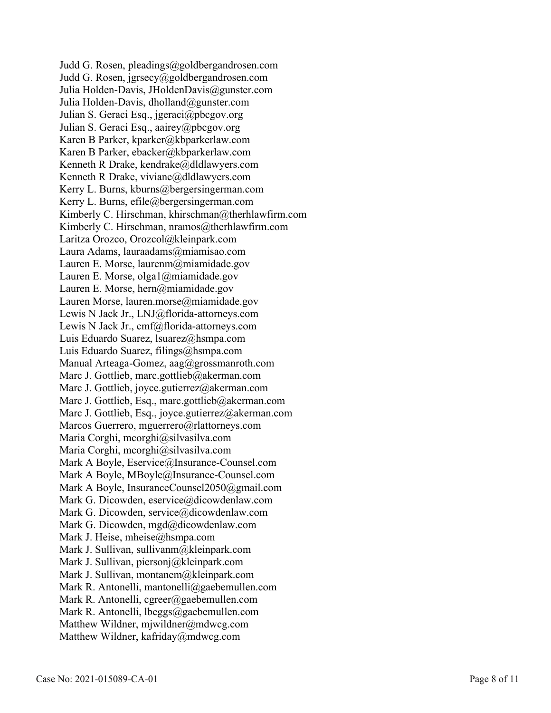Judd G. Rosen, pleadings@goldbergandrosen.com Judd G. Rosen, jgrsecy@goldbergandrosen.com Julia Holden-Davis, JHoldenDavis@gunster.com Julia Holden-Davis, dholland@gunster.com Julian S. Geraci Esq., jgeraci@pbcgov.org Julian S. Geraci Esq., aairey@pbcgov.org Karen B Parker, kparker@kbparkerlaw.com Karen B Parker, ebacker@kbparkerlaw.com Kenneth R Drake, kendrake@dldlawyers.com Kenneth R Drake, viviane@dldlawyers.com Kerry L. Burns, kburns@bergersingerman.com Kerry L. Burns, efile@bergersingerman.com Kimberly C. Hirschman, khirschman@therhlawfirm.com Kimberly C. Hirschman, nramos@therhlawfirm.com Laritza Orozco, Orozcol@kleinpark.com Laura Adams, lauraadams@miamisao.com Lauren E. Morse, laurenm@miamidade.gov Lauren E. Morse, olga1@miamidade.gov Lauren E. Morse, hern@miamidade.gov Lauren Morse, lauren.morse@miamidade.gov Lewis N Jack Jr., LNJ@florida-attorneys.com Lewis N Jack Jr., cmf@florida-attorneys.com Luis Eduardo Suarez, lsuarez@hsmpa.com Luis Eduardo Suarez, filings@hsmpa.com Manual Arteaga-Gomez, aag@grossmanroth.com Marc J. Gottlieb, marc.gottlieb@akerman.com Marc J. Gottlieb, joyce.gutierrez@akerman.com Marc J. Gottlieb, Esq., marc.gottlieb@akerman.com Marc J. Gottlieb, Esq., joyce.gutierrez@akerman.com Marcos Guerrero, mguerrero@rlattorneys.com Maria Corghi, mcorghi@silvasilva.com Maria Corghi, mcorghi@silvasilva.com Mark A Boyle, Eservice@Insurance-Counsel.com Mark A Boyle, MBoyle@Insurance-Counsel.com Mark A Boyle, InsuranceCounsel2050@gmail.com Mark G. Dicowden, eservice@dicowdenlaw.com Mark G. Dicowden, service@dicowdenlaw.com Mark G. Dicowden, mgd@dicowdenlaw.com Mark J. Heise, mheise@hsmpa.com Mark J. Sullivan, sullivanm@kleinpark.com Mark J. Sullivan, piersonj@kleinpark.com Mark J. Sullivan, montanem@kleinpark.com Mark R. Antonelli, mantonelli@gaebemullen.com Mark R. Antonelli, cgreer@gaebemullen.com Mark R. Antonelli, lbeggs@gaebemullen.com Matthew Wildner, mjwildner@mdwcg.com Matthew Wildner, kafriday@mdwcg.com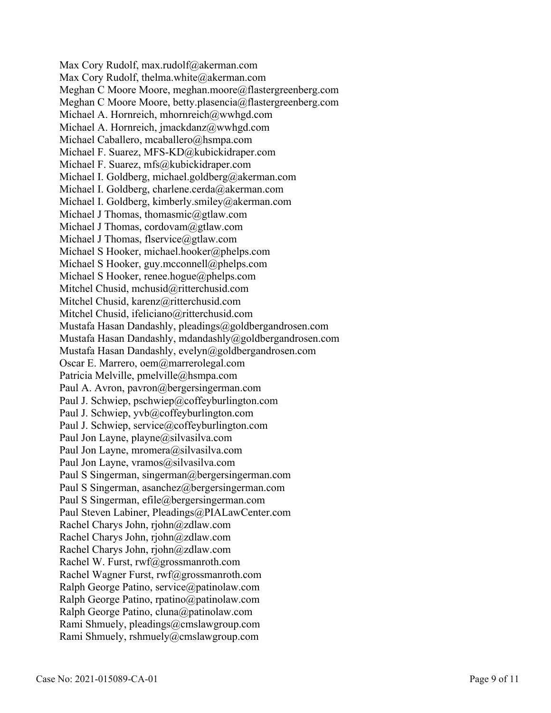Max Cory Rudolf, max.rudolf@akerman.com Max Cory Rudolf, thelma.white@akerman.com Meghan C Moore Moore, meghan.moore@flastergreenberg.com Meghan C Moore Moore, betty.plasencia@flastergreenberg.com Michael A. Hornreich, mhornreich@wwhgd.com Michael A. Hornreich, jmackdanz@wwhgd.com Michael Caballero, mcaballero@hsmpa.com Michael F. Suarez, MFS-KD@kubickidraper.com Michael F. Suarez, mfs@kubickidraper.com Michael I. Goldberg, michael.goldberg@akerman.com Michael I. Goldberg, charlene.cerda@akerman.com Michael I. Goldberg, kimberly.smiley@akerman.com Michael J Thomas, thomasmic@gtlaw.com Michael J Thomas, cordovam@gtlaw.com Michael J Thomas, flservice@gtlaw.com Michael S Hooker, michael.hooker@phelps.com Michael S Hooker, guy.mcconnell@phelps.com Michael S Hooker, renee.hogue@phelps.com Mitchel Chusid, mchusid@ritterchusid.com Mitchel Chusid, karenz@ritterchusid.com Mitchel Chusid, ifeliciano@ritterchusid.com Mustafa Hasan Dandashly, pleadings@goldbergandrosen.com Mustafa Hasan Dandashly, mdandashly@goldbergandrosen.com Mustafa Hasan Dandashly, evelyn@goldbergandrosen.com Oscar E. Marrero, oem@marrerolegal.com Patricia Melville, pmelville@hsmpa.com Paul A. Avron, pavron@bergersingerman.com Paul J. Schwiep, pschwiep@coffeyburlington.com Paul J. Schwiep, yvb@coffeyburlington.com Paul J. Schwiep, service@coffeyburlington.com Paul Jon Layne, playne@silvasilva.com Paul Jon Layne, mromera@silvasilva.com Paul Jon Layne, vramos@silvasilva.com Paul S Singerman, singerman@bergersingerman.com Paul S Singerman, asanchez@bergersingerman.com Paul S Singerman, efile@bergersingerman.com Paul Steven Labiner, Pleadings@PIALawCenter.com Rachel Charys John, rjohn@zdlaw.com Rachel Charys John, rjohn@zdlaw.com Rachel Charys John, rjohn@zdlaw.com Rachel W. Furst, rwf@grossmanroth.com Rachel Wagner Furst, rwf@grossmanroth.com Ralph George Patino, service@patinolaw.com Ralph George Patino, rpatino@patinolaw.com Ralph George Patino, cluna@patinolaw.com Rami Shmuely, pleadings@cmslawgroup.com Rami Shmuely, rshmuely@cmslawgroup.com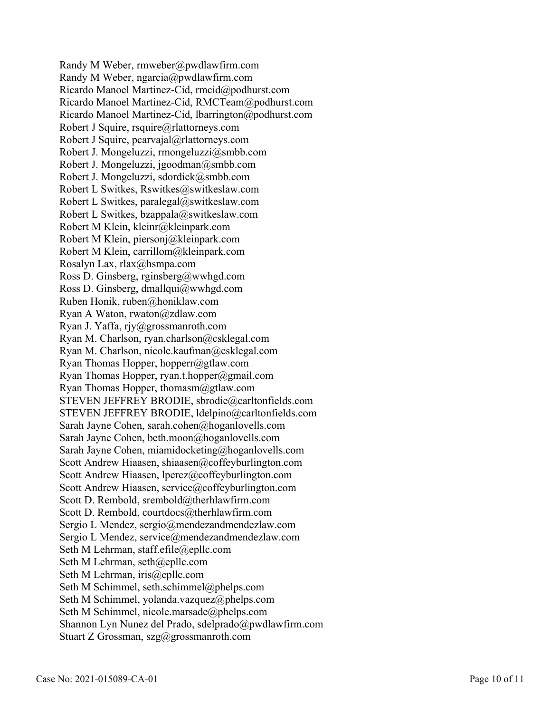Randy M Weber, rmweber@pwdlawfirm.com Randy M Weber, ngarcia@pwdlawfirm.com Ricardo Manoel Martinez-Cid, rmcid@podhurst.com Ricardo Manoel Martinez-Cid, RMCTeam@podhurst.com Ricardo Manoel Martinez-Cid, lbarrington@podhurst.com Robert J Squire, rsquire@rlattorneys.com Robert J Squire, pcarvajal@rlattorneys.com Robert J. Mongeluzzi, rmongeluzzi@smbb.com Robert J. Mongeluzzi, jgoodman@smbb.com Robert J. Mongeluzzi, sdordick@smbb.com Robert L Switkes, Rswitkes@switkeslaw.com Robert L Switkes, paralegal@switkeslaw.com Robert L Switkes, bzappala@switkeslaw.com Robert M Klein, kleinr@kleinpark.com Robert M Klein, piersonj@kleinpark.com Robert M Klein, carrillom@kleinpark.com Rosalyn Lax, rlax@hsmpa.com Ross D. Ginsberg, rginsberg@wwhgd.com Ross D. Ginsberg, dmallqui@wwhgd.com Ruben Honik, ruben@honiklaw.com Ryan A Waton, rwaton@zdlaw.com Ryan J. Yaffa, rjy@grossmanroth.com Ryan M. Charlson, ryan.charlson@csklegal.com Ryan M. Charlson, nicole.kaufman@csklegal.com Ryan Thomas Hopper, hopperr@gtlaw.com Ryan Thomas Hopper, ryan.t.hopper@gmail.com Ryan Thomas Hopper, thomasm@gtlaw.com STEVEN JEFFREY BRODIE, sbrodie@carltonfields.com STEVEN JEFFREY BRODIE, ldelpino@carltonfields.com Sarah Jayne Cohen, sarah.cohen@hoganlovells.com Sarah Jayne Cohen, beth.moon@hoganlovells.com Sarah Jayne Cohen, miamidocketing@hoganlovells.com Scott Andrew Hiaasen, shiaasen@coffeyburlington.com Scott Andrew Hiaasen, lperez@coffeyburlington.com Scott Andrew Hiaasen, service@coffeyburlington.com Scott D. Rembold, srembold@therhlawfirm.com Scott D. Rembold, courtdocs@therhlawfirm.com Sergio L Mendez, sergio@mendezandmendezlaw.com Sergio L Mendez, service@mendezandmendezlaw.com Seth M Lehrman, staff.efile@epllc.com Seth M Lehrman, seth@epllc.com Seth M Lehrman, iris@epllc.com Seth M Schimmel, seth.schimmel@phelps.com Seth M Schimmel, yolanda.vazquez@phelps.com Seth M Schimmel, nicole.marsade@phelps.com Shannon Lyn Nunez del Prado, sdelprado@pwdlawfirm.com Stuart Z Grossman, szg@grossmanroth.com